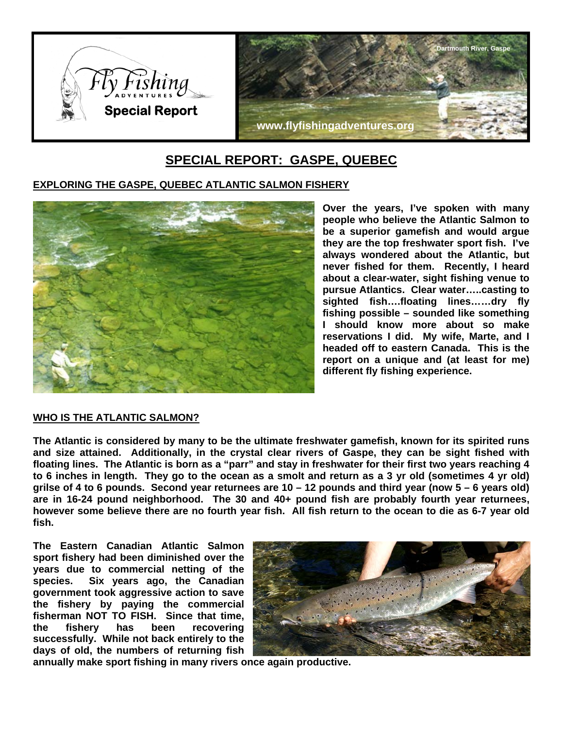

# **SPECIAL REPORT: GASPE, QUEBEC**

# **EXPLORING THE GASPE, QUEBEC ATLANTIC SALMON FISHERY**



**Over the years, I've spoken with many people who believe the Atlantic Salmon to be a superior gamefish and would argue they are the top freshwater sport fish. I've always wondered about the Atlantic, but never fished for them. Recently, I heard about a clear-water, sight fishing venue to pursue Atlantics. Clear water…..casting to sighted fish….floating lines……dry fly fishing possible – sounded like something I should know more about so make reservations I did. My wife, Marte, and I headed off to eastern Canada. This is the report on a unique and (at least for me) different fly fishing experience.** 

# **WHO IS THE ATLANTIC SALMON?**

**The Atlantic is considered by many to be the ultimate freshwater gamefish, known for its spirited runs and size attained. Additionally, in the crystal clear rivers of Gaspe, they can be sight fished with floating lines. The Atlantic is born as a "parr" and stay in freshwater for their first two years reaching 4 to 6 inches in length. They go to the ocean as a smolt and return as a 3 yr old (sometimes 4 yr old) grilse of 4 to 6 pounds. Second year returnees are 10 – 12 pounds and third year (now 5 – 6 years old) are in 16-24 pound neighborhood. The 30 and 40+ pound fish are probably fourth year returnees, however some believe there are no fourth year fish. All fish return to the ocean to die as 6-7 year old fish.** 

**The Eastern Canadian Atlantic Salmon sport fishery had been diminished over the years due to commercial netting of the species. Six years ago, the Canadian government took aggressive action to save the fishery by paying the commercial fisherman NOT TO FISH. Since that time, the fishery has been recovering successfully. While not back entirely to the days of old, the numbers of returning fish** 



**annually make sport fishing in many rivers once again productive.**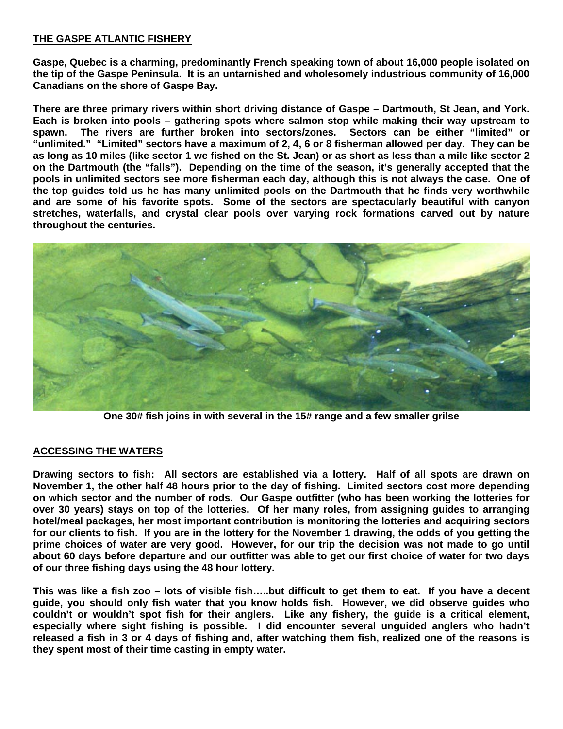# **THE GASPE ATLANTIC FISHERY**

**Gaspe, Quebec is a charming, predominantly French speaking town of about 16,000 people isolated on the tip of the Gaspe Peninsula. It is an untarnished and wholesomely industrious community of 16,000 Canadians on the shore of Gaspe Bay.** 

**There are three primary rivers within short driving distance of Gaspe – Dartmouth, St Jean, and York. Each is broken into pools – gathering spots where salmon stop while making their way upstream to spawn. The rivers are further broken into sectors/zones. Sectors can be either "limited" or "unlimited." "Limited" sectors have a maximum of 2, 4, 6 or 8 fisherman allowed per day. They can be as long as 10 miles (like sector 1 we fished on the St. Jean) or as short as less than a mile like sector 2 on the Dartmouth (the "falls"). Depending on the time of the season, it's generally accepted that the pools in unlimited sectors see more fisherman each day, although this is not always the case. One of the top guides told us he has many unlimited pools on the Dartmouth that he finds very worthwhile and are some of his favorite spots. Some of the sectors are spectacularly beautiful with canyon stretches, waterfalls, and crystal clear pools over varying rock formations carved out by nature throughout the centuries.** 



**One 30# fish joins in with several in the 15# range and a few smaller grilse** 

#### **ACCESSING THE WATERS**

**Drawing sectors to fish: All sectors are established via a lottery. Half of all spots are drawn on November 1, the other half 48 hours prior to the day of fishing. Limited sectors cost more depending on which sector and the number of rods. Our Gaspe outfitter (who has been working the lotteries for over 30 years) stays on top of the lotteries. Of her many roles, from assigning guides to arranging hotel/meal packages, her most important contribution is monitoring the lotteries and acquiring sectors for our clients to fish. If you are in the lottery for the November 1 drawing, the odds of you getting the prime choices of water are very good. However, for our trip the decision was not made to go until about 60 days before departure and our outfitter was able to get our first choice of water for two days of our three fishing days using the 48 hour lottery.** 

**This was like a fish zoo – lots of visible fish…..but difficult to get them to eat. If you have a decent guide, you should only fish water that you know holds fish. However, we did observe guides who couldn't or wouldn't spot fish for their anglers. Like any fishery, the guide is a critical element, especially where sight fishing is possible. I did encounter several unguided anglers who hadn't released a fish in 3 or 4 days of fishing and, after watching them fish, realized one of the reasons is they spent most of their time casting in empty water.**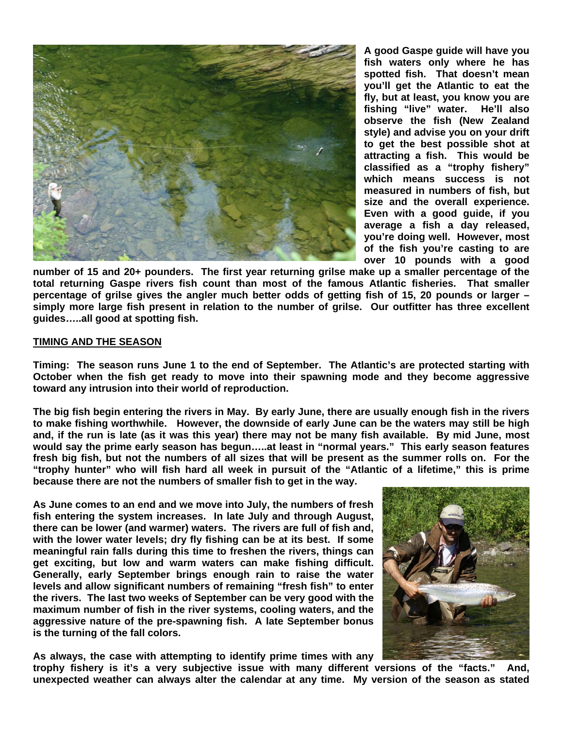

**A good Gaspe guide will have you fish waters only where he has spotted fish. That doesn't mean you'll get the Atlantic to eat the fly, but at least, you know you are fishing "live" water. He'll also observe the fish (New Zealand style) and advise you on your drift to get the best possible shot at attracting a fish. This would be classified as a "trophy fishery" which means success is not measured in numbers of fish, but size and the overall experience. Even with a good guide, if you average a fish a day released, you're doing well. However, most of the fish you're casting to are over 10 pounds with a good** 

**number of 15 and 20+ pounders. The first year returning grilse make up a smaller percentage of the total returning Gaspe rivers fish count than most of the famous Atlantic fisheries. That smaller percentage of grilse gives the angler much better odds of getting fish of 15, 20 pounds or larger – simply more large fish present in relation to the number of grilse. Our outfitter has three excellent guides…..all good at spotting fish.** 

#### **TIMING AND THE SEASON**

**Timing: The season runs June 1 to the end of September. The Atlantic's are protected starting with October when the fish get ready to move into their spawning mode and they become aggressive toward any intrusion into their world of reproduction.** 

**The big fish begin entering the rivers in May. By early June, there are usually enough fish in the rivers to make fishing worthwhile. However, the downside of early June can be the waters may still be high and, if the run is late (as it was this year) there may not be many fish available. By mid June, most would say the prime early season has begun…..at least in "normal years." This early season features fresh big fish, but not the numbers of all sizes that will be present as the summer rolls on. For the "trophy hunter" who will fish hard all week in pursuit of the "Atlantic of a lifetime," this is prime because there are not the numbers of smaller fish to get in the way.** 

**As June comes to an end and we move into July, the numbers of fresh fish entering the system increases. In late July and through August, there can be lower (and warmer) waters. The rivers are full of fish and, with the lower water levels; dry fly fishing can be at its best. If some meaningful rain falls during this time to freshen the rivers, things can get exciting, but low and warm waters can make fishing difficult. Generally, early September brings enough rain to raise the water levels and allow significant numbers of remaining "fresh fish" to enter the rivers. The last two weeks of September can be very good with the maximum number of fish in the river systems, cooling waters, and the aggressive nature of the pre-spawning fish. A late September bonus is the turning of the fall colors.** 

**As always, the case with attempting to identify prime times with any trophy fishery is it's a very subjective issue with many different versions of the "facts." And, unexpected weather can always alter the calendar at any time. My version of the season as stated**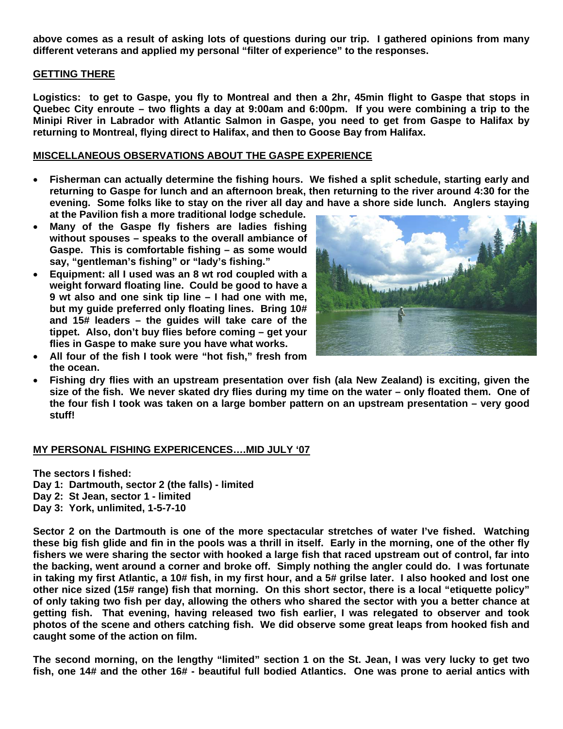**above comes as a result of asking lots of questions during our trip. I gathered opinions from many different veterans and applied my personal "filter of experience" to the responses.** 

### **GETTING THERE**

**Logistics: to get to Gaspe, you fly to Montreal and then a 2hr, 45min flight to Gaspe that stops in Quebec City enroute – two flights a day at 9:00am and 6:00pm. If you were combining a trip to the Minipi River in Labrador with Atlantic Salmon in Gaspe, you need to get from Gaspe to Halifax by returning to Montreal, flying direct to Halifax, and then to Goose Bay from Halifax.** 

## **MISCELLANEOUS OBSERVATIONS ABOUT THE GASPE EXPERIENCE**

- **Fisherman can actually determine the fishing hours. We fished a split schedule, starting early and returning to Gaspe for lunch and an afternoon break, then returning to the river around 4:30 for the evening. Some folks like to stay on the river all day and have a shore side lunch. Anglers staying at the Pavilion fish a more traditional lodge schedule.**
- **Many of the Gaspe fly fishers are ladies fishing without spouses – speaks to the overall ambiance of Gaspe. This is comfortable fishing – as some would say, "gentleman's fishing" or "lady's fishing."**
- **Equipment: all I used was an 8 wt rod coupled with a weight forward floating line. Could be good to have a 9 wt also and one sink tip line – I had one with me, but my guide preferred only floating lines. Bring 10# and 15# leaders – the guides will take care of the tippet. Also, don't buy flies before coming – get your flies in Gaspe to make sure you have what works.**
- أمغيهم **MANAGER**
- **All four of the fish I took were "hot fish," fresh from the ocean.**
- **Fishing dry flies with an upstream presentation over fish (ala New Zealand) is exciting, given the size of the fish. We never skated dry flies during my time on the water – only floated them. One of the four fish I took was taken on a large bomber pattern on an upstream presentation – very good stuff!**

#### **MY PERSONAL FISHING EXPERICENCES….MID JULY '07**

**The sectors I fished:** 

- **Day 1: Dartmouth, sector 2 (the falls) limited**
- **Day 2: St Jean, sector 1 limited**
- **Day 3: York, unlimited, 1-5-7-10**

**Sector 2 on the Dartmouth is one of the more spectacular stretches of water I've fished. Watching these big fish glide and fin in the pools was a thrill in itself. Early in the morning, one of the other fly fishers we were sharing the sector with hooked a large fish that raced upstream out of control, far into the backing, went around a corner and broke off. Simply nothing the angler could do. I was fortunate in taking my first Atlantic, a 10# fish, in my first hour, and a 5# grilse later. I also hooked and lost one other nice sized (15# range) fish that morning. On this short sector, there is a local "etiquette policy" of only taking two fish per day, allowing the others who shared the sector with you a better chance at getting fish. That evening, having released two fish earlier, I was relegated to observer and took photos of the scene and others catching fish. We did observe some great leaps from hooked fish and caught some of the action on film.** 

**The second morning, on the lengthy "limited" section 1 on the St. Jean, I was very lucky to get two fish, one 14# and the other 16# - beautiful full bodied Atlantics. One was prone to aerial antics with**